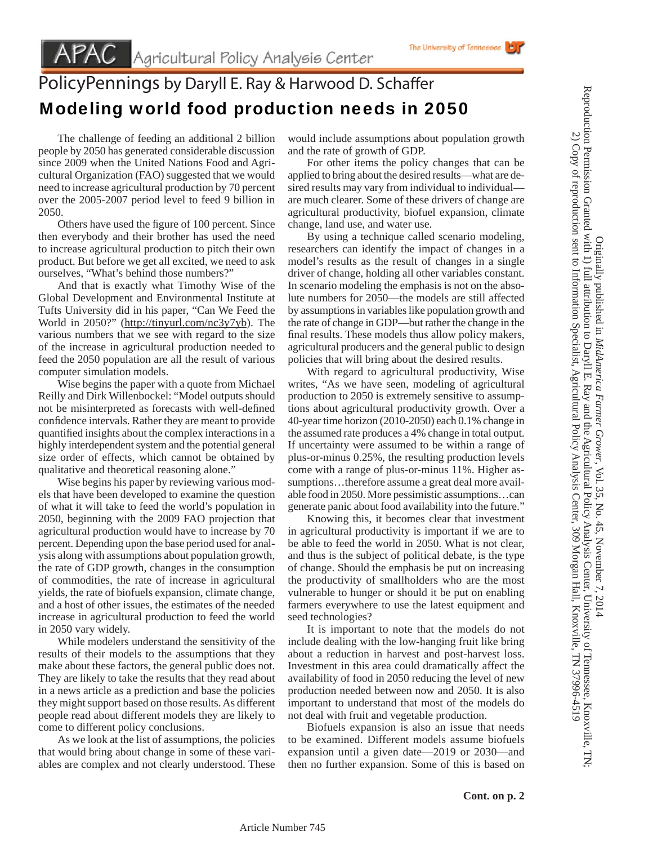## PolicyPennings by Daryll E. Ray & Harwood D. Schaffer Modeling world food production needs in 2050

 The challenge of feeding an additional 2 billion people by 2050 has generated considerable discussion since 2009 when the United Nations Food and Agricultural Organization (FAO) suggested that we would need to increase agricultural production by 70 percent over the 2005-2007 period level to feed 9 billion in 2050.

Others have used the figure of 100 percent. Since then everybody and their brother has used the need to increase agricultural production to pitch their own product. But before we get all excited, we need to ask ourselves, "What's behind those numbers?"

 And that is exactly what Timothy Wise of the Global Development and Environmental Institute at Tufts University did in his paper, "Can We Feed the World in 2050?" (http://tinyurl.com/nc3y7yb). The various numbers that we see with regard to the size of the increase in agricultural production needed to feed the 2050 population are all the result of various computer simulation models.

 Wise begins the paper with a quote from Michael Reilly and Dirk Willenbockel: "Model outputs should not be misinterpreted as forecasts with well-defined confidence intervals. Rather they are meant to provide quantified insights about the complex interactions in a highly interdependent system and the potential general size order of effects, which cannot be obtained by qualitative and theoretical reasoning alone."

 Wise begins his paper by reviewing various models that have been developed to examine the question of what it will take to feed the world's population in 2050, beginning with the 2009 FAO projection that agricultural production would have to increase by 70 percent. Depending upon the base period used for analysis along with assumptions about population growth, the rate of GDP growth, changes in the consumption of commodities, the rate of increase in agricultural yields, the rate of biofuels expansion, climate change, and a host of other issues, the estimates of the needed increase in agricultural production to feed the world in 2050 vary widely.

 While modelers understand the sensitivity of the results of their models to the assumptions that they make about these factors, the general public does not. They are likely to take the results that they read about in a news article as a prediction and base the policies they might support based on those results. As different people read about different models they are likely to come to different policy conclusions.

 As we look at the list of assumptions, the policies that would bring about change in some of these variables are complex and not clearly understood. These

would include assumptions about population growth and the rate of growth of GDP.

 For other items the policy changes that can be applied to bring about the desired results—what are desired results may vary from individual to individual are much clearer. Some of these drivers of change are agricultural productivity, biofuel expansion, climate change, land use, and water use.

 By using a technique called scenario modeling, researchers can identify the impact of changes in a model's results as the result of changes in a single driver of change, holding all other variables constant. In scenario modeling the emphasis is not on the absolute numbers for 2050—the models are still affected by assumptions in variables like population growth and the rate of change in GDP—but rather the change in the final results. These models thus allow policy makers, agricultural producers and the general public to design policies that will bring about the desired results.

 With regard to agricultural productivity, Wise writes, "As we have seen, modeling of agricultural production to 2050 is extremely sensitive to assumptions about agricultural productivity growth. Over a 40-year time horizon (2010-2050) each 0.1% change in the assumed rate produces a 4% change in total output. If uncertainty were assumed to be within a range of plus-or-minus 0.25%, the resulting production levels come with a range of plus-or-minus 11%. Higher assumptions…therefore assume a great deal more available food in 2050. More pessimistic assumptions…can generate panic about food availability into the future."

 Knowing this, it becomes clear that investment in agricultural productivity is important if we are to be able to feed the world in 2050. What is not clear, and thus is the subject of political debate, is the type of change. Should the emphasis be put on increasing the productivity of smallholders who are the most vulnerable to hunger or should it be put on enabling farmers everywhere to use the latest equipment and seed technologies?

 It is important to note that the models do not include dealing with the low-hanging fruit like bring about a reduction in harvest and post-harvest loss. Investment in this area could dramatically affect the availability of food in 2050 reducing the level of new production needed between now and 2050. It is also important to understand that most of the models do not deal with fruit and vegetable production.

 Biofuels expansion is also an issue that needs to be examined. Different models assume biofuels expansion until a given date—2019 or 2030—and then no further expansion. Some of this is based on